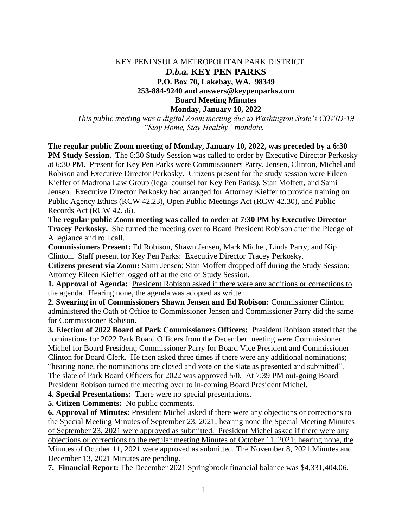## KEY PENINSULA METROPOLITAN PARK DISTRICT *D.b.a.* **KEY PEN PARKS P.O. Box 70, Lakebay, WA. 98349 253-884-9240 and answers@keypenparks.com Board Meeting Minutes Monday, January 10, 2022**

*This public meeting was a digital Zoom meeting due to Washington State's COVID-19 "Stay Home, Stay Healthy" mandate.*

**The regular public Zoom meeting of Monday, January 10, 2022, was preceded by a 6:30 PM Study Session.** The 6:30 Study Session was called to order by Executive Director Perkosky at 6:30 PM. Present for Key Pen Parks were Commissioners Parry, Jensen, Clinton, Michel and Robison and Executive Director Perkosky. Citizens present for the study session were Eileen Kieffer of Madrona Law Group (legal counsel for Key Pen Parks), Stan Moffett, and Sami Jensen. Executive Director Perkosky had arranged for Attorney Kieffer to provide training on Public Agency Ethics (RCW 42.23), Open Public Meetings Act (RCW 42.30), and Public Records Act (RCW 42.56).

**The regular public Zoom meeting was called to order at 7:30 PM by Executive Director Tracey Perkosky.** She turned the meeting over to Board President Robison after the Pledge of Allegiance and roll call.

**Commissioners Present:** Ed Robison, Shawn Jensen, Mark Michel, Linda Parry, and Kip Clinton. Staff present for Key Pen Parks: Executive Director Tracey Perkosky.

**Citizens present via Zoom:** Sami Jensen; Stan Moffett dropped off during the Study Session; Attorney Eileen Kieffer logged off at the end of Study Session.

**1. Approval of Agenda:** President Robison asked if there were any additions or corrections to the agenda. Hearing none, the agenda was adopted as written.

**2. Swearing in of Commissioners Shawn Jensen and Ed Robison:** Commissioner Clinton administered the Oath of Office to Commissioner Jensen and Commissioner Parry did the same for Commissioner Robison.

**3. Election of 2022 Board of Park Commissioners Officers:** President Robison stated that the nominations for 2022 Park Board Officers from the December meeting were Commissioner Michel for Board President, Commissioner Parry for Board Vice President and Commissioner Clinton for Board Clerk. He then asked three times if there were any additional nominations; "hearing none, the nominations are closed and vote on the slate as presented and submitted". The slate of Park Board Officers for 2022 was approved 5/0. At 7:39 PM out-going Board President Robison turned the meeting over to in-coming Board President Michel.

**4. Special Presentations:** There were no special presentations.

**5. Citizen Comments:** No public comments.

**6. Approval of Minutes:** President Michel asked if there were any objections or corrections to the Special Meeting Minutes of September 23, 2021; hearing none the Special Meeting Minutes of September 23, 2021 were approved as submitted. President Michel asked if there were any objections or corrections to the regular meeting Minutes of October 11, 2021; hearing none, the Minutes of October 11, 2021 were approved as submitted. The November 8, 2021 Minutes and December 13, 2021 Minutes are pending.

**7. Financial Report:** The December 2021 Springbrook financial balance was \$4,331,404.06.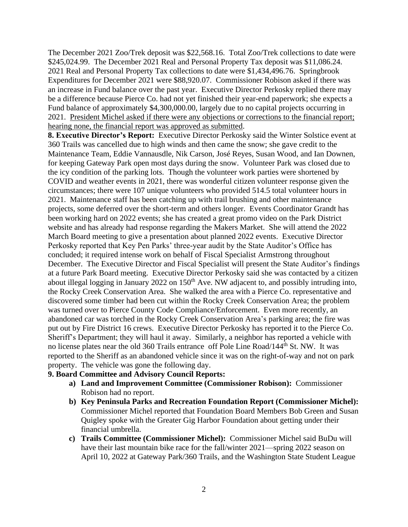The December 2021 Zoo/Trek deposit was \$22,568.16. Total Zoo/Trek collections to date were \$245,024.99. The December 2021 Real and Personal Property Tax deposit was \$11,086.24. 2021 Real and Personal Property Tax collections to date were \$1,434,496.76. Springbrook Expenditures for December 2021 were \$88,920.07. Commissioner Robison asked if there was an increase in Fund balance over the past year. Executive Director Perkosky replied there may be a difference because Pierce Co. had not yet finished their year-end paperwork; she expects a Fund balance of approximately \$4,300,000.00, largely due to no capital projects occurring in 2021. President Michel asked if there were any objections or corrections to the financial report; hearing none, the financial report was approved as submitted.

**8. Executive Director's Report:** Executive Director Perkosky said the Winter Solstice event at 360 Trails was cancelled due to high winds and then came the snow; she gave credit to the Maintenance Team, Eddie Vannausdle, Nik Carson, José Reyes, Susan Wood, and Ian Downen, for keeping Gateway Park open most days during the snow. Volunteer Park was closed due to the icy condition of the parking lots. Though the volunteer work parties were shortened by COVID and weather events in 2021, there was wonderful citizen volunteer response given the circumstances; there were 107 unique volunteers who provided 514.5 total volunteer hours in 2021. Maintenance staff has been catching up with trail brushing and other maintenance projects, some deferred over the short-term and others longer. Events Coordinator Grandt has been working hard on 2022 events; she has created a great promo video on the Park District website and has already had response regarding the Makers Market. She will attend the 2022 March Board meeting to give a presentation about planned 2022 events. Executive Director Perkosky reported that Key Pen Parks' three-year audit by the State Auditor's Office has concluded; it required intense work on behalf of Fiscal Specialist Armstrong throughout December. The Executive Director and Fiscal Specialist will present the State Auditor's findings at a future Park Board meeting. Executive Director Perkosky said she was contacted by a citizen about illegal logging in January 2022 on 150<sup>th</sup> Ave. NW adjacent to, and possibly intruding into, the Rocky Creek Conservation Area. She walked the area with a Pierce Co. representative and discovered some timber had been cut within the Rocky Creek Conservation Area; the problem was turned over to Pierce County Code Compliance/Enforcement. Even more recently, an abandoned car was torched in the Rocky Creek Conservation Area's parking area; the fire was put out by Fire District 16 crews. Executive Director Perkosky has reported it to the Pierce Co. Sheriff's Department; they will haul it away. Similarly, a neighbor has reported a vehicle with no license plates near the old 360 Trails entrance off Pole Line Road/144<sup>th</sup> St. NW. It was reported to the Sheriff as an abandoned vehicle since it was on the right-of-way and not on park property. The vehicle was gone the following day.

## **9. Board Committee and Advisory Council Reports:**

- **a) Land and Improvement Committee (Commissioner Robison):** Commissioner Robison had no report.
- **b) Key Peninsula Parks and Recreation Foundation Report (Commissioner Michel):** Commissioner Michel reported that Foundation Board Members Bob Green and Susan Quigley spoke with the Greater Gig Harbor Foundation about getting under their financial umbrella.
- **c) Trails Committee (Commissioner Michel):** Commissioner Michel said BuDu will have their last mountain bike race for the fall/winter 2021—spring 2022 season on April 10, 2022 at Gateway Park/360 Trails, and the Washington State Student League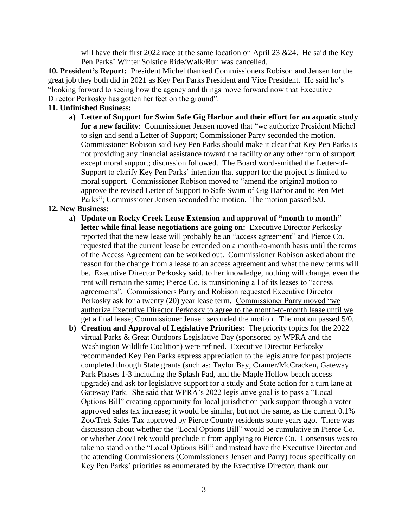will have their first 2022 race at the same location on April 23  $\&$  24. He said the Key Pen Parks' Winter Solstice Ride/Walk/Run was cancelled.

**10. President's Report:** President Michel thanked Commissioners Robison and Jensen for the great job they both did in 2021 as Key Pen Parks President and Vice President. He said he's "looking forward to seeing how the agency and things move forward now that Executive Director Perkosky has gotten her feet on the ground".

## **11. Unfinished Business:**

**a) Letter of Support for Swim Safe Gig Harbor and their effort for an aquatic study for a new facility**: Commissioner Jensen moved that "we authorize President Michel to sign and send a Letter of Support; Commissioner Parry seconded the motion. Commissioner Robison said Key Pen Parks should make it clear that Key Pen Parks is not providing any financial assistance toward the facility or any other form of support except moral support; discussion followed. The Board word-smithed the Letter-of-Support to clarify Key Pen Parks' intention that support for the project is limited to moral support. Commissioner Robison moved to "amend the original motion to approve the revised Letter of Support to Safe Swim of Gig Harbor and to Pen Met Parks"; Commissioner Jensen seconded the motion. The motion passed 5/0.

## **12. New Business:**

- **a) Update on Rocky Creek Lease Extension and approval of "month to month" letter while final lease negotiations are going on:** Executive Director Perkosky reported that the new lease will probably be an "access agreement" and Pierce Co. requested that the current lease be extended on a month-to-month basis until the terms of the Access Agreement can be worked out. Commissioner Robison asked about the reason for the change from a lease to an access agreement and what the new terms will be. Executive Director Perkosky said, to her knowledge, nothing will change, even the rent will remain the same; Pierce Co. is transitioning all of its leases to "access agreements". Commissioners Parry and Robison requested Executive Director Perkosky ask for a twenty (20) year lease term. Commissioner Parry moved "we authorize Executive Director Perkosky to agree to the month-to-month lease until we get a final lease; Commissioner Jensen seconded the motion. The motion passed 5/0.
- **b) Creation and Approval of Legislative Priorities:** The priority topics for the 2022 virtual Parks & Great Outdoors Legislative Day (sponsored by WPRA and the Washington Wildlife Coalition) were refined. Executive Director Perkosky recommended Key Pen Parks express appreciation to the legislature for past projects completed through State grants (such as: Taylor Bay, Cramer/McCracken, Gateway Park Phases 1-3 including the Splash Pad, and the Maple Hollow beach access upgrade) and ask for legislative support for a study and State action for a turn lane at Gateway Park. She said that WPRA's 2022 legislative goal is to pass a "Local Options Bill" creating opportunity for local jurisdiction park support through a voter approved sales tax increase; it would be similar, but not the same, as the current 0.1% Zoo/Trek Sales Tax approved by Pierce County residents some years ago. There was discussion about whether the "Local Options Bill" would be cumulative in Pierce Co. or whether Zoo/Trek would preclude it from applying to Pierce Co. Consensus was to take no stand on the "Local Options Bill" and instead have the Executive Director and the attending Commissioners (Commissioners Jensen and Parry) focus specifically on Key Pen Parks' priorities as enumerated by the Executive Director, thank our